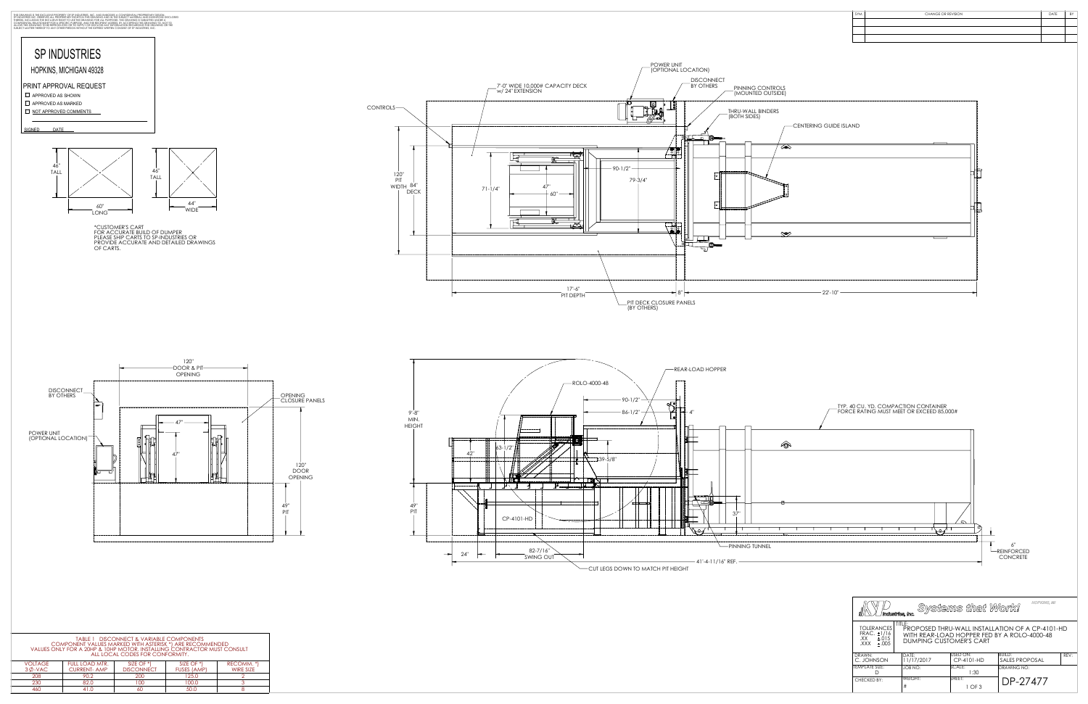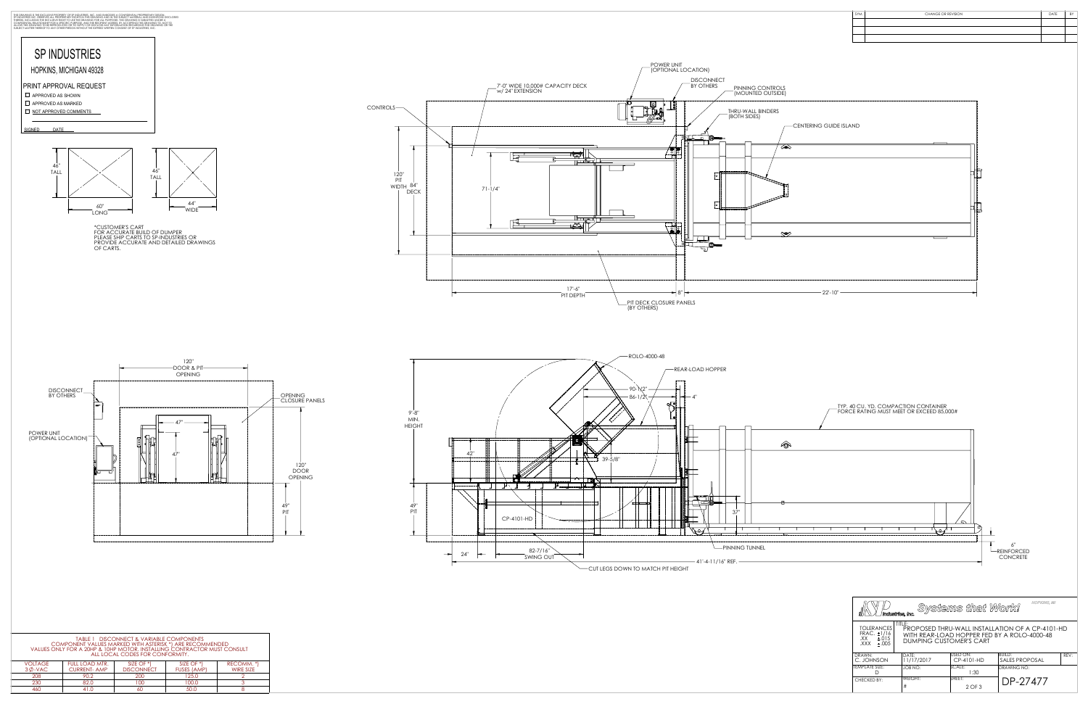